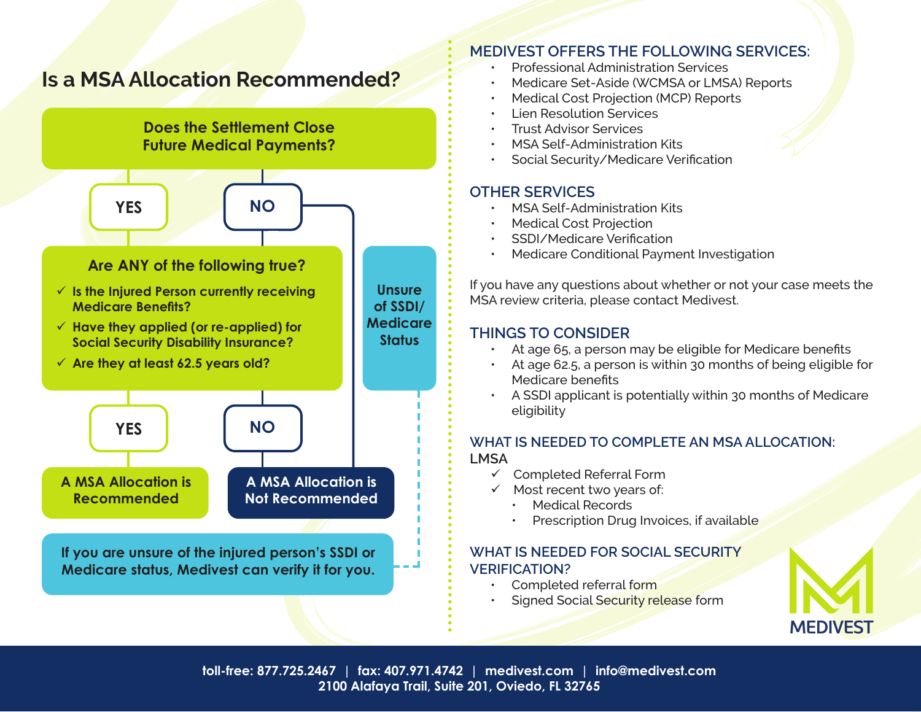# **Is a MSA Allocation Recommended?**



### **MEDIVEST OFFERS THE FOLLOWING SERVICES:**

- Professional Administration Services
- Medicare Set-Aside (WCMSA or LMSA) Reports
- Medical Cost Projection (MCP) Reports
- Lien Resolution Services
- Trust Advisor Services
- MSA Self-Administration Kits
- Social Security/Medicare Verification

## **OTHER SERVICES**

- MSA Self-Administration Kits
- Medical Cost Projection
- SSDI/Medicare Verification
- Medicare Conditional Payment Investigation

If you have any questions about whether or not your case meets the MSA review criteria, please contact Medivest.

## **THINGS TO CONSIDER**

- At age 65, a person may be eligible for Medicare benefits
- At age 62.5, a person is within 30 months of being eligible for Medicare benefits
- A SSDI applicant is potentially within 30 months of Medicare eligibility

#### **WHAT IS NEEDED TO COMPLETE AN MSA ALLOCATION: LMSA**

- $\checkmark$  Completed Referral Form
- $\checkmark$  Most recent two years of:
	- Medical Records
	- Prescription Drug Invoices, if available

#### **WHAT IS NEEDED FOR SOCIAL SECURITY VERIFICATION?**

- Completed referral form
- Signed Social Security release form